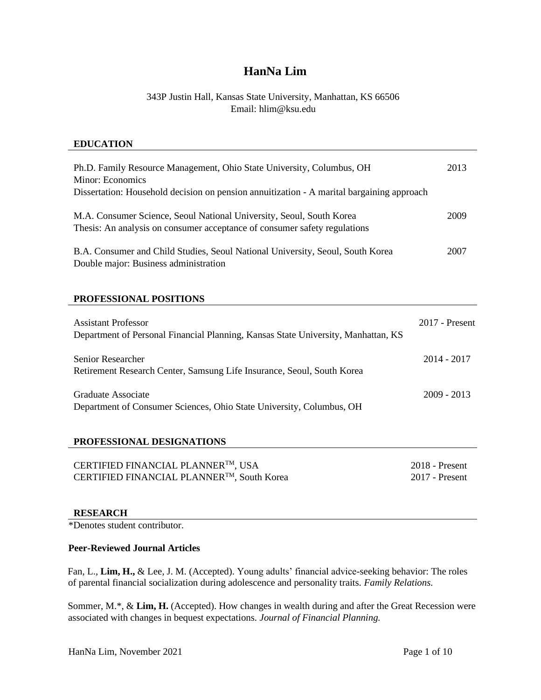# **HanNa Lim**

# 343P Justin Hall, Kansas State University, Manhattan, KS 66506 Email: hlim@ksu.edu

### **EDUCATION**

| Ph.D. Family Resource Management, Ohio State University, Columbus, OH<br>Minor: Economics<br>Dissertation: Household decision on pension annuitization - A marital bargaining approach | 2013 |
|----------------------------------------------------------------------------------------------------------------------------------------------------------------------------------------|------|
| M.A. Consumer Science, Seoul National University, Seoul, South Korea<br>Thesis: An analysis on consumer acceptance of consumer safety regulations                                      | 2009 |
| B.A. Consumer and Child Studies, Seoul National University, Seoul, South Korea<br>Double major: Business administration                                                                | 2007 |

### **PROFESSIONAL POSITIONS**

| <b>Assistant Professor</b><br>Department of Personal Financial Planning, Kansas State University, Manhattan, KS | $2017$ - Present |
|-----------------------------------------------------------------------------------------------------------------|------------------|
| <b>Senior Researcher</b><br>Retirement Research Center, Samsung Life Insurance, Seoul, South Korea              | $2014 - 2017$    |
| Graduate Associate<br>Department of Consumer Sciences, Ohio State University, Columbus, OH                      | $2009 - 2013$    |

### **PROFESSIONAL DESIGNATIONS**

| CERTIFIED FINANCIAL PLANNER™, USA         | $2018$ - Present |
|-------------------------------------------|------------------|
| CERTIFIED FINANCIAL PLANNER™, South Korea | 2017 - Present   |

### **RESEARCH**

\*Denotes student contributor.

### **Peer-Reviewed Journal Articles**

Fan, L., **Lim, H.,** & Lee, J. M. (Accepted). Young adults' financial advice-seeking behavior: The roles of parental financial socialization during adolescence and personality traits. *Family Relations.*

Sommer, M.\*, & **Lim, H.** (Accepted). How changes in wealth during and after the Great Recession were associated with changes in bequest expectations. *Journal of Financial Planning.*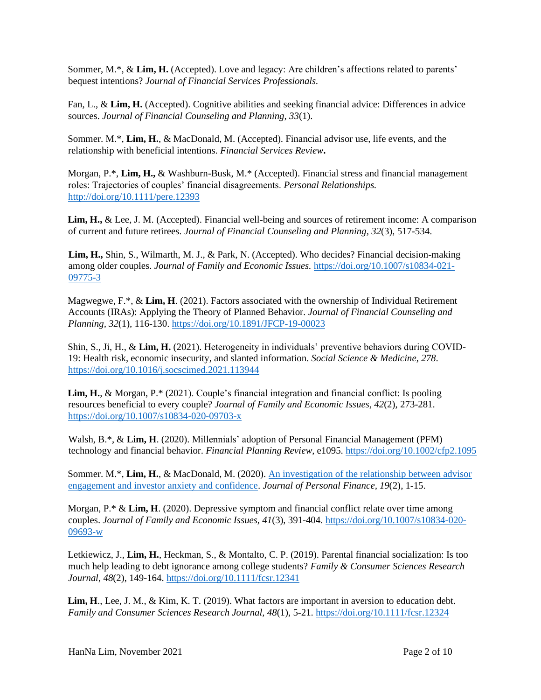Sommer, M.\*, & **Lim, H.** (Accepted). Love and legacy: Are children's affections related to parents' bequest intentions? *Journal of Financial Services Professionals.*

Fan, L., & **Lim, H.** (Accepted). Cognitive abilities and seeking financial advice: Differences in advice sources. *Journal of Financial Counseling and Planning, 33*(1).

Sommer. M.\*, **Lim, H.**, & MacDonald, M. (Accepted). Financial advisor use, life events, and the relationship with beneficial intentions. *Financial Services Review***.**

Morgan, P.\*, **Lim, H.,** & Washburn-Busk, M.\* (Accepted). Financial stress and financial management roles: Trajectories of couples' financial disagreements. *Personal Relationships.* http://doi.org/10.1111/pere.12393

**Lim, H.,** & Lee, J. M. (Accepted). Financial well-being and sources of retirement income: A comparison of current and future retirees. *Journal of Financial Counseling and Planning, 32*(3), 517-534.

**Lim, H.,** Shin, S., Wilmarth, M. J., & Park, N. (Accepted). Who decides? Financial decision-making among older couples. *Journal of Family and Economic Issues.* https://doi.org/10.1007/s10834-021- 09775-3

Magwegwe, F.\*, & **Lim, H**. (2021). Factors associated with the ownership of Individual Retirement Accounts (IRAs): Applying the Theory of Planned Behavior. *Journal of Financial Counseling and Planning, 32*(1), 116-130. <https://doi.org/10.1891/JFCP-19-00023>

Shin, S., Ji, H., & **Lim, H.** (2021). Heterogeneity in individuals' preventive behaviors during COVID-19: Health risk, economic insecurity, and slanted information. *Social Science & Medicine, 278*. <https://doi.org/10.1016/j.socscimed.2021.113944>

**Lim, H.**, & Morgan, P.\* (2021). Couple's financial integration and financial conflict: Is pooling resources beneficial to every couple? *Journal of Family and Economic Issues, 42*(2), 273-281. <https://doi.org/10.1007/s10834-020-09703-x>

Walsh, B.\*, & **Lim, H**. (2020). Millennials' adoption of Personal Financial Management (PFM) technology and financial behavior. *Financial Planning Review*, e1095.<https://doi.org/10.1002/cfp2.1095>

Sommer. M.\*, **Lim, H.**, & MacDonald, M. (2020). [An investigation of the relationship between advisor](https://www.proquest.com/docview/2464647490/465E0D51EDD34E20PQ/3)  [engagement and investor anxiety and confidence.](https://www.proquest.com/docview/2464647490/465E0D51EDD34E20PQ/3) *Journal of Personal Finance, 19*(2), 1-15.

Morgan, P.\* & **Lim, H**. (2020). Depressive symptom and financial conflict relate over time among couples. *Journal of Family and Economic Issues, 41*(3), 391-404. [https://doi.org/10.1007/s10834-020-](https://doi.org/10.1007/s10834-020-09693-w) [09693-w](https://doi.org/10.1007/s10834-020-09693-w)

Letkiewicz, J., **Lim, H.**, Heckman, S., & Montalto, C. P. (2019). Parental financial socialization: Is too much help leading to debt ignorance among college students? *Family & Consumer Sciences Research Journal, 48*(2), 149-164. <https://doi.org/10.1111/fcsr.12341>

**Lim, H**., Lee, J. M., & Kim, K. T. (2019). What factors are important in aversion to education debt. *Family and Consumer Sciences Research Journal, 48*(1), 5-21. <https://doi.org/10.1111/fcsr.12324>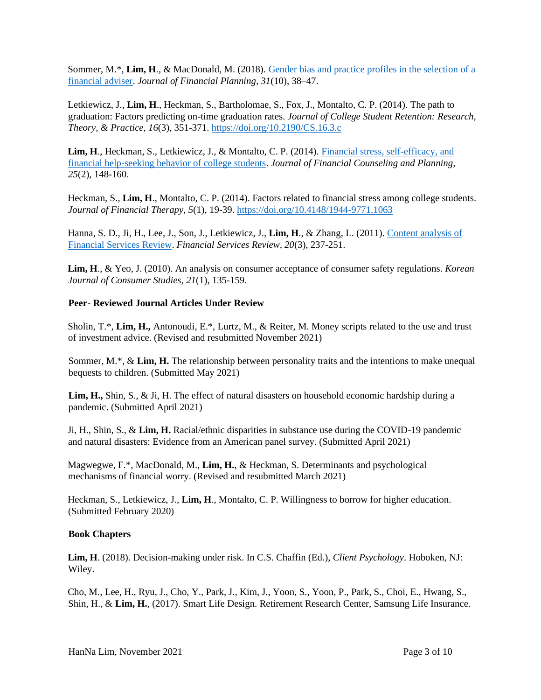Sommer, M.\*, **Lim, H**., & MacDonald, M. (2018)[. Gender bias and practice profiles in the selection](https://search.proquest.com/docview/2131783502?pq-origsite=gscholar) of a [financial adviser.](https://search.proquest.com/docview/2131783502?pq-origsite=gscholar) *Journal of Financial Planning, 31*(10), 38–47.

Letkiewicz, J., **Lim, H**., Heckman, S., Bartholomae, S., Fox, J., Montalto, C. P. (2014). The path to graduation: Factors predicting on-time graduation rates. *Journal of College Student Retention: Research, Theory, & Practice, 16*(3), 351-371.<https://doi.org/10.2190/CS.16.3.c>

**Lim, H**., Heckman, S., Letkiewicz, J., & Montalto, C. P. (2014). [Financial stress, self-efficacy, and](https://search.proquest.com/docview/1635267775?pq-origsite=gscholar)  [financial help-seeking behavior of college students.](https://search.proquest.com/docview/1635267775?pq-origsite=gscholar) *Journal of Financial Counseling and Planning, 25*(2), 148-160.

Heckman, S., **Lim, H**., Montalto, C. P. (2014). Factors related to financial stress among college students. *Journal of Financial Therapy, 5*(1), 19-39.<https://doi.org/10.4148/1944-9771.1063>

Hanna, S. D., Ji, H., Lee, J., Son, J., Letkiewicz, J., **Lim, H**., & Zhang, L. (2011). [Content analysis of](https://search.proquest.com/docview/925801621?pq-origsite=gscholar)  [Financial Services Review.](https://search.proquest.com/docview/925801621?pq-origsite=gscholar) *Financial Services Review, 20*(3), 237-251.

**Lim, H**., & Yeo, J. (2010). An analysis on consumer acceptance of consumer safety regulations. *Korean Journal of Consumer Studies, 21*(1), 135-159.

### **Peer- Reviewed Journal Articles Under Review**

Sholin, T.\*, **Lim, H.,** Antonoudi, E.\*, Lurtz, M., & Reiter, M. Money scripts related to the use and trust of investment advice. (Revised and resubmitted November 2021)

Sommer, M.\*, & **Lim, H.** The relationship between personality traits and the intentions to make unequal bequests to children. (Submitted May 2021)

**Lim, H.,** Shin, S., & Ji, H. The effect of natural disasters on household economic hardship during a pandemic. (Submitted April 2021)

Ji, H., Shin, S., & **Lim, H.** Racial/ethnic disparities in substance use during the COVID-19 pandemic and natural disasters: Evidence from an American panel survey. (Submitted April 2021)

Magwegwe, F.\*, MacDonald, M., **Lim, H.**, & Heckman, S. Determinants and psychological mechanisms of financial worry. (Revised and resubmitted March 2021)

Heckman, S., Letkiewicz, J., **Lim, H**., Montalto, C. P. Willingness to borrow for higher education. (Submitted February 2020)

### **Book Chapters**

**Lim, H**. (2018). Decision-making under risk. In C.S. Chaffin (Ed.), *Client Psychology*. Hoboken, NJ: Wiley.

Cho, M., Lee, H., Ryu, J., Cho, Y., Park, J., Kim, J., Yoon, S., Yoon, P., Park, S., Choi, E., Hwang, S., Shin, H., & **Lim, H.**, (2017). Smart Life Design. Retirement Research Center, Samsung Life Insurance.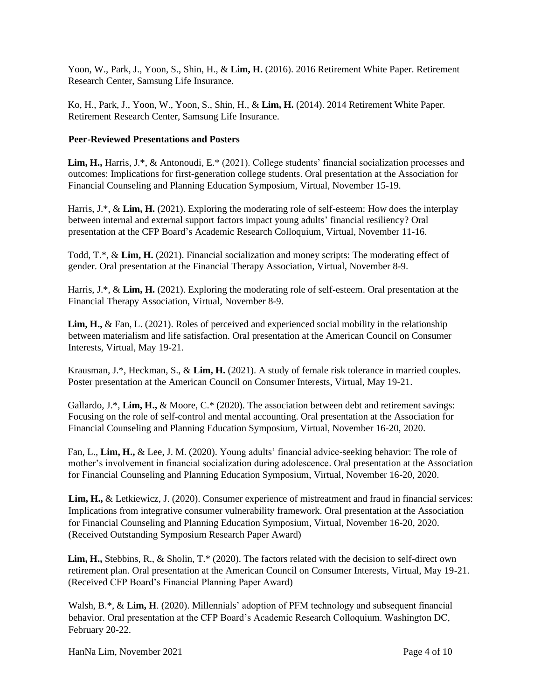Yoon, W., Park, J., Yoon, S., Shin, H., & **Lim, H.** (2016). 2016 Retirement White Paper. Retirement Research Center, Samsung Life Insurance.

Ko, H., Park, J., Yoon, W., Yoon, S., Shin, H., & **Lim, H.** (2014). 2014 Retirement White Paper. Retirement Research Center, Samsung Life Insurance.

## **Peer-Reviewed Presentations and Posters**

**Lim, H.,** Harris, J.\*, & Antonoudi, E.\* (2021). College students' financial socialization processes and outcomes: Implications for first-generation college students. Oral presentation at the Association for Financial Counseling and Planning Education Symposium, Virtual, November 15-19.

Harris, J.\*, & **Lim, H.** (2021). Exploring the moderating role of self-esteem: How does the interplay between internal and external support factors impact young adults' financial resiliency? Oral presentation at the CFP Board's Academic Research Colloquium, Virtual, November 11-16.

Todd, T.\*, & **Lim, H.** (2021). Financial socialization and money scripts: The moderating effect of gender. Oral presentation at the Financial Therapy Association, Virtual, November 8-9.

Harris, J.\*, & **Lim, H.** (2021). Exploring the moderating role of self-esteem. Oral presentation at the Financial Therapy Association, Virtual, November 8-9.

**Lim, H.,** & Fan, L. (2021). Roles of perceived and experienced social mobility in the relationship between materialism and life satisfaction. Oral presentation at the American Council on Consumer Interests, Virtual, May 19-21.

Krausman, J.\*, Heckman, S., & **Lim, H.** (2021). A study of female risk tolerance in married couples. Poster presentation at the American Council on Consumer Interests, Virtual, May 19-21.

Gallardo, J.\*, **Lim, H.,** & Moore, C.\* (2020). The association between debt and retirement savings: Focusing on the role of self-control and mental accounting. Oral presentation at the Association for Financial Counseling and Planning Education Symposium, Virtual, November 16-20, 2020.

Fan, L., **Lim, H.,** & Lee, J. M. (2020). Young adults' financial advice-seeking behavior: The role of mother's involvement in financial socialization during adolescence. Oral presentation at the Association for Financial Counseling and Planning Education Symposium, Virtual, November 16-20, 2020.

**Lim, H.,** & Letkiewicz, J. (2020). Consumer experience of mistreatment and fraud in financial services: Implications from integrative consumer vulnerability framework. Oral presentation at the Association for Financial Counseling and Planning Education Symposium, Virtual, November 16-20, 2020. (Received Outstanding Symposium Research Paper Award)

**Lim, H.,** Stebbins, R., & Sholin, T.\* (2020). The factors related with the decision to self-direct own retirement plan. Oral presentation at the American Council on Consumer Interests, Virtual, May 19-21. (Received CFP Board's Financial Planning Paper Award)

Walsh, B.\*, & **Lim, H**. (2020). Millennials' adoption of PFM technology and subsequent financial behavior. Oral presentation at the CFP Board's Academic Research Colloquium. Washington DC, February 20-22.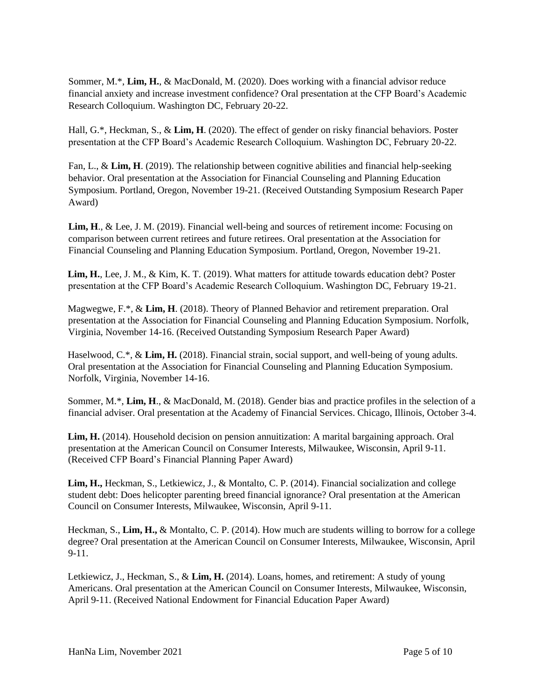Sommer, M.\*, **Lim, H.**, & MacDonald, M. (2020). Does working with a financial advisor reduce financial anxiety and increase investment confidence? Oral presentation at the CFP Board's Academic Research Colloquium. Washington DC, February 20-22.

Hall, G.\*, Heckman, S., & **Lim, H**. (2020). The effect of gender on risky financial behaviors. Poster presentation at the CFP Board's Academic Research Colloquium. Washington DC, February 20-22.

Fan, L., & **Lim, H**. (2019). The relationship between cognitive abilities and financial help-seeking behavior. Oral presentation at the Association for Financial Counseling and Planning Education Symposium. Portland, Oregon, November 19-21. (Received Outstanding Symposium Research Paper Award)

**Lim, H**., & Lee, J. M. (2019). Financial well-being and sources of retirement income: Focusing on comparison between current retirees and future retirees. Oral presentation at the Association for Financial Counseling and Planning Education Symposium. Portland, Oregon, November 19-21.

**Lim, H.**, Lee, J. M., & Kim, K. T. (2019). What matters for attitude towards education debt? Poster presentation at the CFP Board's Academic Research Colloquium. Washington DC, February 19-21.

Magwegwe, F.\*, & **Lim, H**. (2018). Theory of Planned Behavior and retirement preparation. Oral presentation at the Association for Financial Counseling and Planning Education Symposium. Norfolk, Virginia, November 14-16. (Received Outstanding Symposium Research Paper Award)

Haselwood, C.\*, & **Lim, H.** (2018). Financial strain, social support, and well-being of young adults. Oral presentation at the Association for Financial Counseling and Planning Education Symposium. Norfolk, Virginia, November 14-16.

Sommer, M.\*, **Lim, H**., & MacDonald, M. (2018). Gender bias and practice profiles in the selection of a financial adviser. Oral presentation at the Academy of Financial Services. Chicago, Illinois, October 3-4.

**Lim, H.** (2014). Household decision on pension annuitization: A marital bargaining approach. Oral presentation at the American Council on Consumer Interests, Milwaukee, Wisconsin, April 9-11. (Received CFP Board's Financial Planning Paper Award)

**Lim, H.,** Heckman, S., Letkiewicz, J., & Montalto, C. P. (2014). Financial socialization and college student debt: Does helicopter parenting breed financial ignorance? Oral presentation at the American Council on Consumer Interests, Milwaukee, Wisconsin, April 9-11.

Heckman, S., **Lim, H.,** & Montalto, C. P. (2014). How much are students willing to borrow for a college degree? Oral presentation at the American Council on Consumer Interests, Milwaukee, Wisconsin, April 9-11.

Letkiewicz, J., Heckman, S., & **Lim, H.** (2014). Loans, homes, and retirement: A study of young Americans. Oral presentation at the American Council on Consumer Interests, Milwaukee, Wisconsin, April 9-11. (Received National Endowment for Financial Education Paper Award)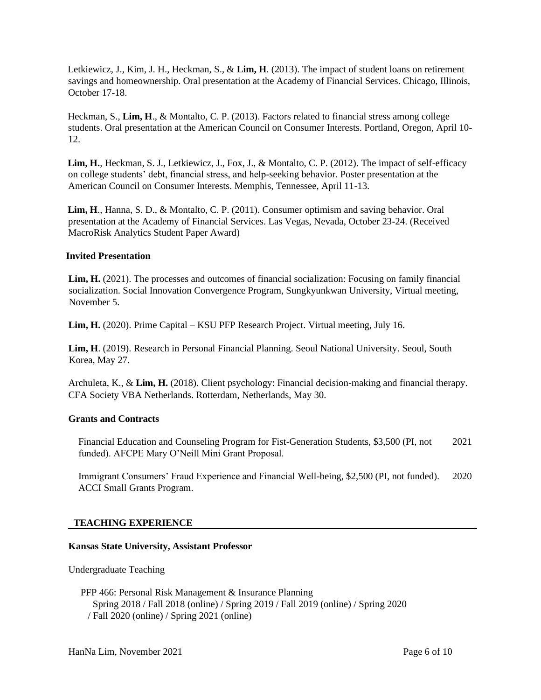Letkiewicz, J., Kim, J. H., Heckman, S., & **Lim, H**. (2013). The impact of student loans on retirement savings and homeownership. Oral presentation at the Academy of Financial Services. Chicago, Illinois, October 17-18.

Heckman, S., **Lim, H**., & Montalto, C. P. (2013). Factors related to financial stress among college students. Oral presentation at the American Council on Consumer Interests. Portland, Oregon, April 10- 12.

**Lim, H.**, Heckman, S. J., Letkiewicz, J., Fox, J., & Montalto, C. P. (2012). The impact of self-efficacy on college students' debt, financial stress, and help-seeking behavior. Poster presentation at the American Council on Consumer Interests. Memphis, Tennessee, April 11-13.

**Lim, H**., Hanna, S. D., & Montalto, C. P. (2011). Consumer optimism and saving behavior. Oral presentation at the Academy of Financial Services. Las Vegas, Nevada, October 23-24. (Received MacroRisk Analytics Student Paper Award)

### **Invited Presentation**

**Lim, H.** (2021). The processes and outcomes of financial socialization: Focusing on family financial socialization. Social Innovation Convergence Program, Sungkyunkwan University, Virtual meeting, November 5.

**Lim, H.** (2020). Prime Capital – KSU PFP Research Project. Virtual meeting, July 16.

**Lim, H**. (2019). Research in Personal Financial Planning. Seoul National University. Seoul, South Korea, May 27.

Archuleta, K., & **Lim, H.** (2018). Client psychology: Financial decision-making and financial therapy. CFA Society VBA Netherlands. Rotterdam, Netherlands, May 30.

### **Grants and Contracts**

Financial Education and Counseling Program for Fist-Generation Students, \$3,500 (PI, not funded). AFCPE Mary O'Neill Mini Grant Proposal. 2021

Immigrant Consumers' Fraud Experience and Financial Well-being, \$2,500 (PI, not funded). ACCI Small Grants Program. 2020

### **TEACHING EXPERIENCE**

### **Kansas State University, Assistant Professor**

Undergraduate Teaching

 PFP 466: Personal Risk Management & Insurance Planning Spring 2018 / Fall 2018 (online) / Spring 2019 / Fall 2019 (online) / Spring 2020 / Fall 2020 (online) / Spring 2021 (online)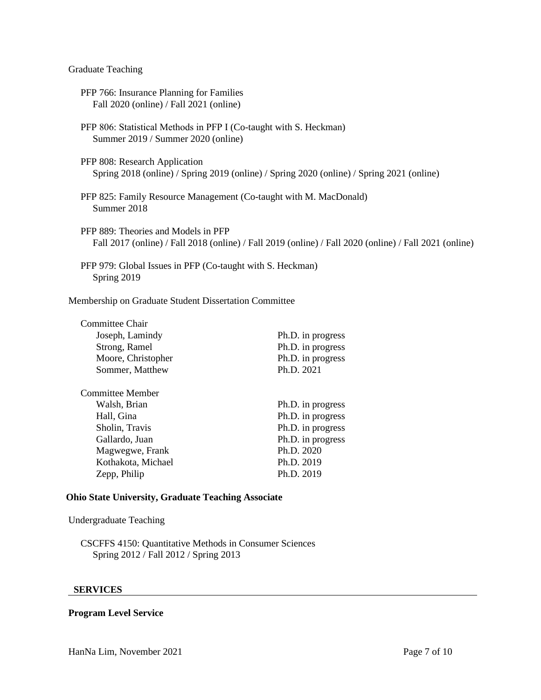#### Graduate Teaching

 PFP 766: Insurance Planning for Families Fall 2020 (online) / Fall 2021 (online) PFP 806: Statistical Methods in PFP Ⅰ (Co-taught with S. Heckman) Summer 2019 / Summer 2020 (online) PFP 808: Research Application Spring 2018 (online) / Spring 2019 (online) / Spring 2020 (online) / Spring 2021 (online) PFP 825: Family Resource Management (Co-taught with M. MacDonald) Summer 2018 PFP 889: Theories and Models in PFP Fall 2017 (online) / Fall 2018 (online) / Fall 2019 (online) / Fall 2020 (online) / Fall 2021 (online) PFP 979: Global Issues in PFP (Co-taught with S. Heckman) Spring 2019 Membership on Graduate Student Dissertation Committee Committee Chair

Joseph, Lamindy Ph.D. in progress Strong, Ramel Ph.D. in progress Moore, Christopher Ph.D. in progress Sommer, Matthew Ph.D. 2021 Committee Member Walsh, Brian Ph.D. in progress Hall, Gina Ph.D. in progress Sholin, Travis Ph.D. in progress Gallardo, Juan Ph.D. in progress Magwegwe, Frank Ph.D. 2020 Kothakota, Michael Ph.D. 2019 Zepp, Philip Ph.D. 2019

#### **Ohio State University, Graduate Teaching Associate**

Undergraduate Teaching

 CSCFFS 4150: Quantitative Methods in Consumer Sciences Spring 2012 / Fall 2012 / Spring 2013

#### **SERVICES**

#### **Program Level Service**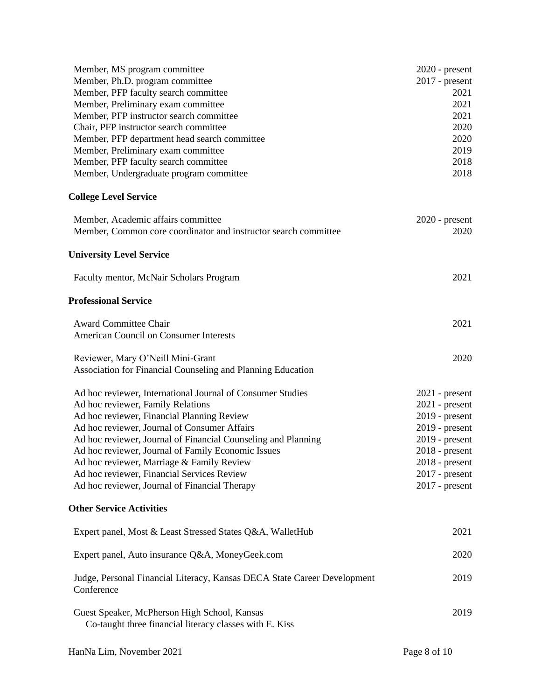| Member, MS program committee<br>Member, Ph.D. program committee<br>Member, PFP faculty search committee<br>Member, Preliminary exam committee<br>Member, PFP instructor search committee<br>Chair, PFP instructor search committee<br>Member, PFP department head search committee<br>Member, Preliminary exam committee<br>Member, PFP faculty search committee<br>Member, Undergraduate program committee                                                      | $2020$ - present<br>$2017$ - present<br>2021<br>2021<br>2021<br>2020<br>2020<br>2019<br>2018<br>2018                                                                             |
|------------------------------------------------------------------------------------------------------------------------------------------------------------------------------------------------------------------------------------------------------------------------------------------------------------------------------------------------------------------------------------------------------------------------------------------------------------------|----------------------------------------------------------------------------------------------------------------------------------------------------------------------------------|
| <b>College Level Service</b>                                                                                                                                                                                                                                                                                                                                                                                                                                     |                                                                                                                                                                                  |
| Member, Academic affairs committee<br>Member, Common core coordinator and instructor search committee                                                                                                                                                                                                                                                                                                                                                            | $2020$ - present<br>2020                                                                                                                                                         |
| <b>University Level Service</b>                                                                                                                                                                                                                                                                                                                                                                                                                                  |                                                                                                                                                                                  |
| Faculty mentor, McNair Scholars Program                                                                                                                                                                                                                                                                                                                                                                                                                          | 2021                                                                                                                                                                             |
| <b>Professional Service</b>                                                                                                                                                                                                                                                                                                                                                                                                                                      |                                                                                                                                                                                  |
| <b>Award Committee Chair</b><br><b>American Council on Consumer Interests</b>                                                                                                                                                                                                                                                                                                                                                                                    | 2021                                                                                                                                                                             |
| Reviewer, Mary O'Neill Mini-Grant<br>Association for Financial Counseling and Planning Education                                                                                                                                                                                                                                                                                                                                                                 | 2020                                                                                                                                                                             |
| Ad hoc reviewer, International Journal of Consumer Studies<br>Ad hoc reviewer, Family Relations<br>Ad hoc reviewer, Financial Planning Review<br>Ad hoc reviewer, Journal of Consumer Affairs<br>Ad hoc reviewer, Journal of Financial Counseling and Planning<br>Ad hoc reviewer, Journal of Family Economic Issues<br>Ad hoc reviewer, Marriage & Family Review<br>Ad hoc reviewer, Financial Services Review<br>Ad hoc reviewer, Journal of Financial Therapy | $2021$ - present<br>$2021$ - present<br>$2019$ - present<br>$2019$ - present<br>$2019$ - present<br>$2018$ - present<br>$2018$ - present<br>$2017$ - present<br>$2017$ - present |
| <b>Other Service Activities</b>                                                                                                                                                                                                                                                                                                                                                                                                                                  |                                                                                                                                                                                  |
| Expert panel, Most & Least Stressed States Q&A, WalletHub                                                                                                                                                                                                                                                                                                                                                                                                        | 2021                                                                                                                                                                             |
| Expert panel, Auto insurance Q&A, MoneyGeek.com                                                                                                                                                                                                                                                                                                                                                                                                                  | 2020                                                                                                                                                                             |
| Judge, Personal Financial Literacy, Kansas DECA State Career Development<br>Conference                                                                                                                                                                                                                                                                                                                                                                           | 2019                                                                                                                                                                             |
| Guest Speaker, McPherson High School, Kansas<br>Co-taught three financial literacy classes with E. Kiss                                                                                                                                                                                                                                                                                                                                                          | 2019                                                                                                                                                                             |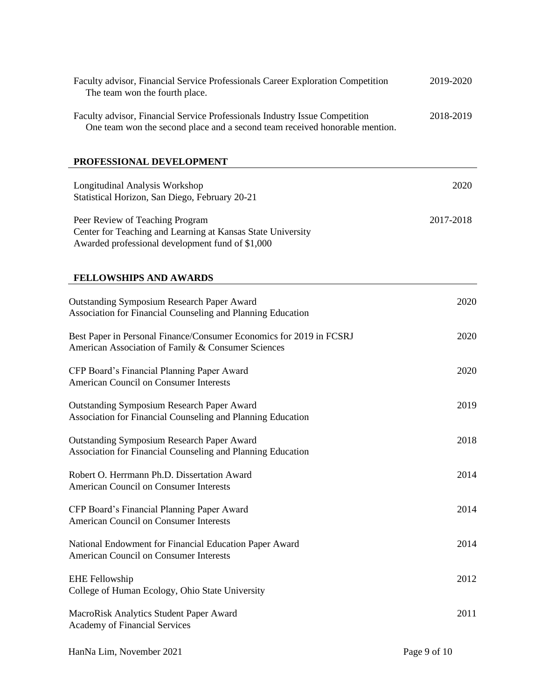| Faculty advisor, Financial Service Professionals Career Exploration Competition<br>The team won the fourth place.                                          | 2019-2020 |
|------------------------------------------------------------------------------------------------------------------------------------------------------------|-----------|
| Faculty advisor, Financial Service Professionals Industry Issue Competition<br>One team won the second place and a second team received honorable mention. | 2018-2019 |
| PROFESSIONAL DEVELOPMENT                                                                                                                                   |           |
| Longitudinal Analysis Workshop<br>Statistical Horizon, San Diego, February 20-21                                                                           | 2020      |
| Peer Review of Teaching Program<br>Center for Teaching and Learning at Kansas State University<br>Awarded professional development fund of \$1,000         | 2017-2018 |
| <b>FELLOWSHIPS AND AWARDS</b>                                                                                                                              |           |
| <b>Outstanding Symposium Research Paper Award</b><br>Association for Financial Counseling and Planning Education                                           | 2020      |
| Best Paper in Personal Finance/Consumer Economics for 2019 in FCSRJ<br>American Association of Family & Consumer Sciences                                  | 2020      |
| CFP Board's Financial Planning Paper Award<br><b>American Council on Consumer Interests</b>                                                                | 2020      |
| <b>Outstanding Symposium Research Paper Award</b><br>Association for Financial Counseling and Planning Education                                           | 2019      |
| <b>Outstanding Symposium Research Paper Award</b><br>Association for Financial Counseling and Planning Education                                           | 2018      |
| Robert O. Herrmann Ph.D. Dissertation Award<br>American Council on Consumer Interests                                                                      | 2014      |
| CFP Board's Financial Planning Paper Award<br><b>American Council on Consumer Interests</b>                                                                | 2014      |
| National Endowment for Financial Education Paper Award<br><b>American Council on Consumer Interests</b>                                                    | 2014      |
| <b>EHE Fellowship</b><br>College of Human Ecology, Ohio State University                                                                                   | 2012      |
| MacroRisk Analytics Student Paper Award<br><b>Academy of Financial Services</b>                                                                            | 2011      |